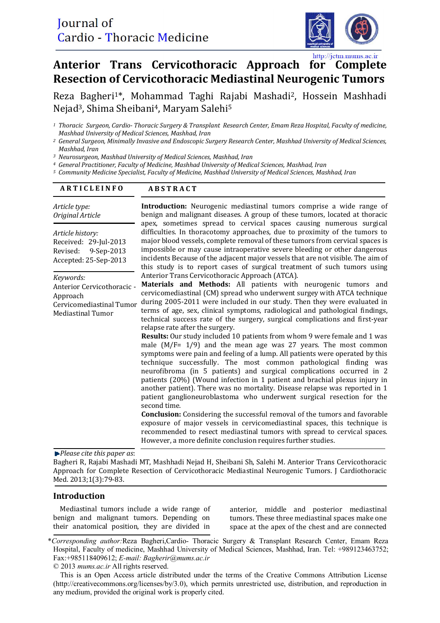

# http://jctm.mums.ac.ir Anterior Trans Cervicothoracic Approach for Complete **Resection of Cervicothoracic Mediastinal Neurogenic Tumors**

Reza Bagheri<sup>1\*</sup>, Mohammad Taghi Rajabi Mashadi<sup>2</sup>, Hossein Mashhadi Nejad<sup>3</sup>, Shima Sheibani<sup>4</sup>, Maryam Salehi<sup>5</sup>

*<sup>3</sup> Neurosurgeon, Mashhad University of Medical Sciences, Mashhad, Iran* 

*<sup>4</sup> General Practitioner, Faculty of Medicine, Mashhad University of Medical Sciences, Mashhad, Iran* 

*<sup>5</sup> Community Medicine Specialist, Faculty of Medicine, Mashhad University of Medical Sciences, Mashhad, Iran* 

#### **A R T I C L E I N F O ABSTRACT**

| Article type:<br>Original Article                                                                                              | Introduction: Neurogenic mediastinal tumors comprise a wide range of<br>benign and malignant diseases. A group of these tumors, located at thoracic<br>apex, sometimes spread to cervical spaces causing numerous surgical<br>difficulties. In thoracotomy approaches, due to proximity of the tumors to<br>major blood vessels, complete removal of these tumors from cervical spaces is<br>impossible or may cause intraoperative severe bleeding or other dangerous<br>incidents Because of the adjacent major vessels that are not visible. The aim of<br>this study is to report cases of surgical treatment of such tumors using<br>Anterior Trans Cervicothoracic Approach (ATCA).<br>Materials and Methods: All patients with neurogenic tumors and<br>cervicomediastinal (CM) spread who underwent surgey with ATCA technique<br>during 2005-2011 were included in our study. Then they were evaluated in<br>terms of age, sex, clinical symptoms, radiological and pathological findings,<br>technical success rate of the surgery, surgical complications and first-year<br>relapse rate after the surgery.<br>Results: Our study included 10 patients from whom 9 were female and 1 was<br>male $(M/F = 1/9)$ and the mean age was 27 years. The most common<br>symptoms were pain and feeling of a lump. All patients were operated by this<br>technique successfully. The most common pathological finding was<br>neurofibroma (in 5 patients) and surgical complications occurred in 2<br>patients (20%) (Wound infection in 1 patient and brachial plexus injury in<br>another patient). There was no mortality. Disease relapse was reported in 1<br>patient ganglioneuroblastoma who underwent surgical resection for the<br>second time.<br>Conclusion: Considering the successful removal of the tumors and favorable<br>exposure of major vessels in cervicomediastinal spaces, this technique is<br>recommended to resect mediastinal tumors with spread to cervical spaces.<br>However, a more definite conclusion requires further studies. |
|--------------------------------------------------------------------------------------------------------------------------------|---------------------------------------------------------------------------------------------------------------------------------------------------------------------------------------------------------------------------------------------------------------------------------------------------------------------------------------------------------------------------------------------------------------------------------------------------------------------------------------------------------------------------------------------------------------------------------------------------------------------------------------------------------------------------------------------------------------------------------------------------------------------------------------------------------------------------------------------------------------------------------------------------------------------------------------------------------------------------------------------------------------------------------------------------------------------------------------------------------------------------------------------------------------------------------------------------------------------------------------------------------------------------------------------------------------------------------------------------------------------------------------------------------------------------------------------------------------------------------------------------------------------------------------------------------------------------------------------------------------------------------------------------------------------------------------------------------------------------------------------------------------------------------------------------------------------------------------------------------------------------------------------------------------------------------------------------------------------------------------------------------------------------------------------------------------------|
| Article history:<br>Received: 29-Jul-2013<br>9-Sep-2013<br>Revised:<br>Accepted: 25-Sep-2013                                   |                                                                                                                                                                                                                                                                                                                                                                                                                                                                                                                                                                                                                                                                                                                                                                                                                                                                                                                                                                                                                                                                                                                                                                                                                                                                                                                                                                                                                                                                                                                                                                                                                                                                                                                                                                                                                                                                                                                                                                                                                                                                     |
| Keywords:<br>Anterior Cervicothoracic -<br>Approach<br>Cervicomediastinal Tumor<br><b>Mediastinal Tumor</b><br>DI.<br>$\cdots$ |                                                                                                                                                                                                                                                                                                                                                                                                                                                                                                                                                                                                                                                                                                                                                                                                                                                                                                                                                                                                                                                                                                                                                                                                                                                                                                                                                                                                                                                                                                                                                                                                                                                                                                                                                                                                                                                                                                                                                                                                                                                                     |

*Please cite this paper as*: 

Bagheri R, Rajabi Mashadi MT, Mashhadi Nejad H, Sheibani Sh, Salehi M. Anterior Trans Cervicothoracic Approach for Complete Resection of Cervicothoracic Mediastinal Neurogenic Tumors. J Cardiothoracic Med. 2013;1(3):79-83.

### **Introduction**

Mediastinal tumors include a wide range of benign and malignant tumors. Depending on their anatomical position, they are divided in

anterior, middle and posterior mediastinal tumors. These three mediastinal spaces make one space at the apex of the chest and are connected

*<sup>1</sup> Thoracic Surgeon, Cardio- Thoracic Surgery & Transplant Research Center, Emam Reza Hospital, Faculty of medicine, Mashhad University of Medical Sciences, Mashhad, Iran* 

*<sup>2</sup> General Surgeon, Minimally Invasive and Endoscopic Surgery Research Center, Mashhad University of Medical Sciences, Mashhad, Iran* 

<sup>\*</sup>*Corresponding author:*Reza Bagheri,Cardio- Thoracic Surgery & Transplant Research Center, Emam Reza Hospital, Faculty of medicine, Mashhad University of Medical Sciences, Mashhad, Iran. Tel: +989123463752; Fax:+985118409612; *E-mail: Bagherir@mums.ac.ir*

<sup>© 2013</sup> *mums.ac.ir* All rights reserved.

This is an Open Access article distributed under the terms of the Creative Commons Attribution License (http://creativecommons.org/licenses/by/3.0), which permits unrestricted use, distribution, and reproduction in any medium, provided the original work is properly cited.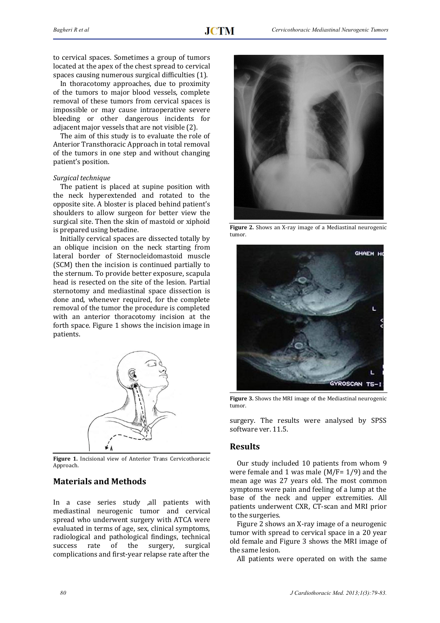to cervical spaces. Sometimes a group of tumors located at the apex of the chest spread to cervical spaces causing numerous surgical difficulties (1).

In thoracotomy approaches, due to proximity of the tumors to major blood vessels, complete removal of these tumors from cervical spaces is impossible or may cause intraoperative severe bleeding or other dangerous incidents for adiacent major vessels that are not visible (2).

The aim of this study is to evaluate the role of Anterior Transthoracic Approach in total removal of the tumors in one step and without changing patient's position.

#### *Surgical technique*

The patient is placed at supine position with the neck hyperextended and rotated to the opposite site. A bloster is placed behind patient's shoulders to allow surgeon for better view the surgical site. Then the skin of mastoid or xiphoid is prepared using betadine.

Initially cervical spaces are dissected totally by an oblique incision on the neck starting from lateral border of Sternocleidomastoid muscle (SCM) then the incision is continued partially to the sternum. To provide better exposure, scapula head is resected on the site of the lesion. Partial sternotomy and mediastinal space dissection is done and, whenever required, for the complete removal of the tumor the procedure is completed with an anterior thoracotomy incision at the forth space. Figure 1 shows the incision image in patients. 



**Figure 1.** Incisional view of Anterior Trans Cervicothoracic Approach. 

## **Materials and Methods**

In a case series study ,all patients with mediastinal neurogenic tumor and cervical spread who underwent surgery with ATCA were evaluated in terms of age, sex, clinical symptoms, radiological and pathological findings, technical success rate of the surgery, surgical complications and first-year relapse rate after the



Figure 2. Shows an X-ray image of a Mediastinal neurogenic tumor. 



**Figure 3.** Shows the MRI image of the Mediastinal neurogenic tumor. 

surgery. The results were analysed by SPSS software ver. 11.5.

#### **Results**

Our study included 10 patients from whom 9 were female and 1 was male  $(M/F=1/9)$  and the mean age was 27 years old. The most common symptoms were pain and feeling of a lump at the base of the neck and upper extremities. All patients underwent CXR, CT-scan and MRI prior to the surgeries.

Figure 2 shows an X-ray image of a neurogenic tumor with spread to cervical space in a 20 year old female and Figure 3 shows the MRI image of the same lesion.

All patients were operated on with the same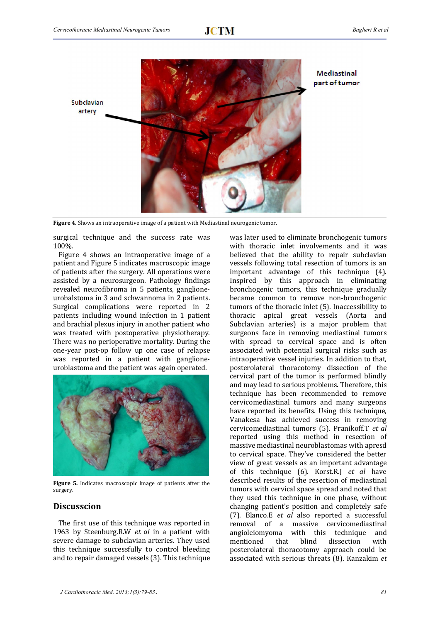

**Mediastinal** part of tumor

Figure 4. Shows an intraoperative image of a patient with Mediastinal neurogenic tumor.

surgical technique and the success rate was 100%. 

Figure 4 shows an intraoperative image of a patient and Figure 5 indicates macroscopic image of patients after the surgery. All operations were assisted by a neurosurgeon. Pathology findings revealed neurofibroma in 5 patients, ganglioneurobalstoma in 3 and schwannoma in 2 patients. Surgical complications were reported in 2 patients including wound infection in 1 patient and brachial plexus injury in another patient who was treated with postoperative physiotherapy. There was no perioperative mortality. During the one-year post-op follow up one case of relapse was reported in a patient with ganglioneuroblastoma and the patient was again operated.



Figure 5. Indicates macroscopic image of patients after the surgery. 

### **Discusscion**

The first use of this technique was reported in 1963 by Steenburg.R.W *et al* in a patient with severe damage to subclavian arteries. They used this technique successfully to control bleeding and to repair damaged vessels (3). This technique

was later used to eliminate bronchogenic tumors with thoracic inlet involvements and it was believed that the ability to repair subclavian vessels following total resection of tumors is an important advantage of this technique  $(4)$ . Inspired by this approach in eliminating bronchogenic tumors, this technique gradually became common to remove non-bronchogenic tumors of the thoracic inlet (5). Inaccessibility to thoracic apical great vessels (Aorta and Subclavian arteries) is a major problem that surgeons face in removing mediastinal tumors with spread to cervical space and is often associated with potential surgical risks such as intraoperative vessel injuries. In addition to that, posterolateral thoracotomy dissection of the cervical part of the tumor is performed blindly and may lead to serious problems. Therefore, this technique has been recommended to remove cervicomediastinal tumors and many surgeons have reported its benefits. Using this technique, Vanakesa has achieved success in removing cervicomediastinal tumors (5). Pranikoff.T *et al* reported using this method in resection of massive mediastinal neuroblastomas with apresd to cervical space. They've considered the better view of great vessels as an important advantage of this technique (6). Korst.R.J *et al* have described results of the resection of mediastinal tumors with cervical space spread and noted that they used this technique in one phase, without changing patient's position and completely safe (7). Blanco.E *et al* also reported a successful removal of a massive cervicomediastinal angioleiomyoma with this technique and mentioned that blind dissection with posterolateral thoracotomy approach could be associated with serious threats (8). Kanzakim et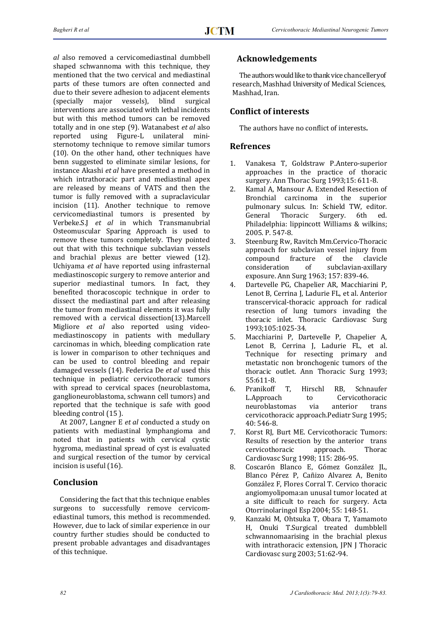*al* also removed a cervicomediastinal dumbbell shaped schwannoma with this technique, they mentioned that the two cervical and mediastinal parts of these tumors are often connected and due to their severe adhesion to adjacent elements (specially major vessels), blind surgical interventions are associated with lethal incidents but with this method tumors can be removed totally and in one step (9). Watanabest *et al* also reported using Figure-L unilateral ministernotomy technique to remove similar tumors  $(10)$ . On the other hand, other techniques have benn suggested to eliminate similar lesions, for instance Akashi et al have presented a method in which intrathoracic part and mediastinal apex are released by means of VATS and then the tumor is fully removed with a supraclavicular incision (11). Another technique to remove cervicomediastinal tumors is presented by Verbeke.S.J *et al* in which Transmanubrial Osteomuscular Sparing Approach is used to remove these tumors completely. They pointed out that with this technique subclavian vessels and brachial plexus are better viewed (12). Uchiyama et al have reported using infrasternal mediastinoscopic surgery to remove anterior and superior mediastinal tumors. In fact, they benefited thoracoscopic technique in order to dissect the mediastinal part and after releasing the tumor from mediastinal elements it was fully removed with a cervical dissection(13).Marcell Migliore *et al* also reported using videomediastinoscopy in patients with medullary carcinomas in which, bleeding complication rate is lower in comparison to other techniques and can be used to control bleeding and repair damaged vessels (14). Federica De et al used this technique in pediatric cervicothoracic tumors with spread to cervical spaces (neuroblastoma, ganglioneuroblastoma, schwann cell tumors) and reported that the technique is safe with good bleeding control  $(15)$ .

At 2007, Langner E et al conducted a study on patients with mediastinal lymphangioma and noted that in patients with cervical cystic hygroma, mediastinal spread of cyst is evaluated and surgical resection of the tumor by cervical incision is useful (16).

## **Conclusion**

Considering the fact that this technique enables surgeons to successfully remove cervicomediastinal tumors, this method is recommended. However, due to lack of similar experience in our country further studies should be conducted to present probable advantages and disadvantages of this technique.

# **Acknowledgements**

The authors would like to thank vice chancelleryof research, Mashhad University of Medical Sciences, Mashhad, Iran.

## **Conflict of interests**

The authors have no conflict of interests.

## **Refrences**

- 1. Vanakesa T, Goldstraw P.Antero-superior approaches in the practice of thoracic surgery. Ann Thorac Surg 1993;15: 611-8.
- 2. Kamal A, Mansour A. Extended Resection of Bronchial carcinoma in the superior pulmonary sulcus. In: Schield TW, editor. General Thoracic Surgery. 6th ed. Philadelphia: lippincott Williams & wilkins; 2005. P. 547-8.
- 3. Steenburg Rw, Ravitch Mm.Cervico-Thoracic approach for subclavian vessel injury from compound fracture of the clavicle consideration of subclavian-axillary exposure. Ann Surg 1963; 157: 839-46.
- 4. Dartevelle PG, Chapelier AR, Macchiarini P, Lenot B, Cerrina J, Ladurie FL, et al. Anterior transcervical-thoracic approach for radical resection of lung tumors invading the thoracic inlet. Thoracic Cardiovasc Surg 1993;105:1025-34.
- 5. Macchiarini P, Dartevelle P, Chapelier A, Lenot B, Cerrina J, Ladurie FL, et al. Technique for resecting primary and metastatic non bronchogenic tumors of the thoracic outlet. Ann Thoracic Surg 1993; 55:611-8.
- 6. Pranikoff T, Hirschl RB, Schnaufer L.Approach to Cervicothoracic neuroblastomas via anterior trans cervicothoracic approach.Pediatr Surg 1995; 40: 546-8.
- 7. Korst RJ, Burt ME. Cervicothoracic Tumors: Results of resection by the anterior trans cervicothoracic approach. Thorac Cardiovasc Surg 1998; 115: 286-95.
- 8. Coscarón Blanco E, Gómez González JL, Blanco Pérez P, Cañizo Alvarez A, Benito González F, Flores Corral T. Cervico thoracic angiomyolipoma:an unusal tumor located at a site difficult to reach for surgery. Acta Otorrinolaringol Esp 2004; 55: 148-51.
- 9. Kanzaki M, Ohtsuka T, Obara T, Yamamoto H, Onuki T.Surgical treated dumbblell schwannomaarising in the brachial plexus with intrathoracic extension, JPN J Thoracic Cardiovasc surg 2003; 51:62-94.